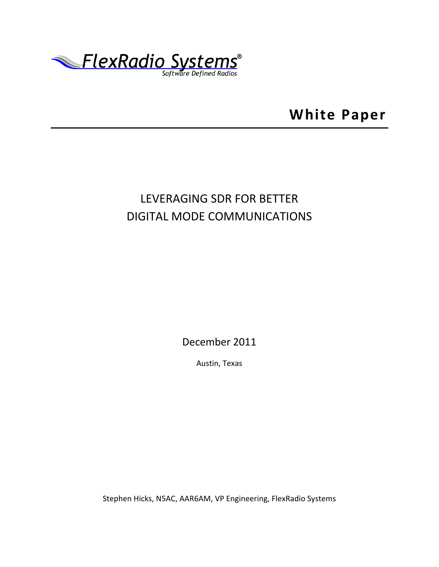

**White Paper**

# LEVERAGING SDR FOR BETTER DIGITAL MODE COMMUNICATIONS

December 2011

Austin, Texas

Stephen Hicks, N5AC, AAR6AM, VP Engineering, FlexRadio Systems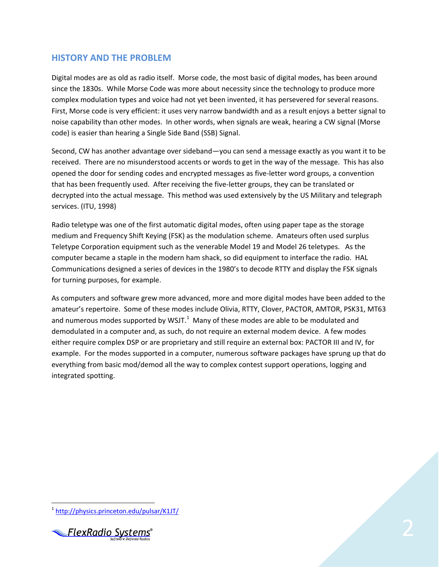# **HISTORY AND THE PROBLEM**

Digital modes are as old as radio itself. Morse code, the most basic of digital modes, has been around since the 1830s. While Morse Code was more about necessity since the technology to produce more complex modulation types and voice had not yet been invented, it has persevered for several reasons. First, Morse code is very efficient: it uses very narrow bandwidth and as a result enjoys a better signal to noise capability than other modes. In other words, when signals are weak, hearing a CW signal (Morse code) is easier than hearing a Single Side Band (SSB) Signal.

Second, CW has another advantage over sideband—you can send a message exactly as you want it to be received. There are no misunderstood accents or words to get in the way of the message. This has also opened the door for sending codes and encrypted messages as five-letter word groups, a convention that has been frequently used. After receiving the five-letter groups, they can be translated or decrypted into the actual message. This method was used extensively by the US Military and telegraph services. (ITU, 1998)

Radio teletype was one of the first automatic digital modes, often using paper tape as the storage medium and Frequency Shift Keying (FSK) as the modulation scheme. Amateurs often used surplus Teletype Corporation equipment such as the venerable Model 19 and Model 26 teletypes. As the computer became a staple in the modern ham shack, so did equipment to interface the radio. HAL Communications designed a series of devices in the 1980's to decode RTTY and display the FSK signals for turning purposes, for example.

As computers and software grew more advanced, more and more digital modes have been added to the amateur's repertoire. Some of these modes include Olivia, RTTY, Clover, PACTOR, AMTOR, PSK31, MT63 and numerous modes supported by WSJT.<sup>1</sup> Many of these modes are able to be modulated and demodulated in a computer and, as such, do not require an external modem device. A few modes either require complex DSP or are proprietary and still require an external box: PACTOR III and IV, for example. For the modes supported in a computer, numerous software packages have sprung up that do everything from basic mod/demod all the way to complex contest support operations, logging and integrated spotting.

 $\overline{a}$ <sup>1</sup> <http://physics.princeton.edu/pulsar/K1JT/>

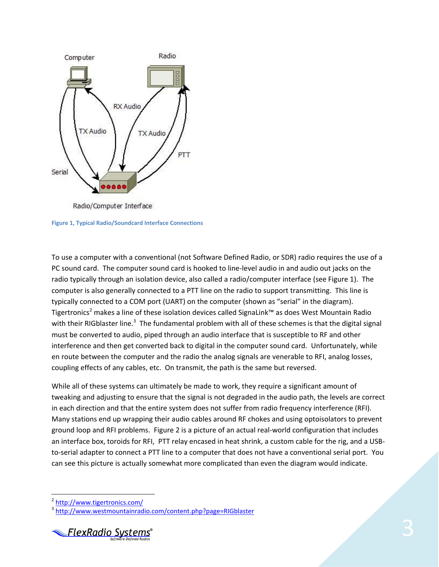

Radio/Computer Interface

<span id="page-2-0"></span>**Figure 1, Typical Radio/Soundcard Interface Connections**

To use a computer with a conventional (not Software Defined Radio, or SDR) radio requires the use of a PC sound card. The computer sound card is hooked to line-level audio in and audio out jacks on the radio typically through an isolation device, also called a radio/computer interface (see [Figure 1\)](#page-2-0). The computer is also generally connected to a PTT line on the radio to support transmitting. This line is typically connected to a COM port (UART) on the computer (shown as "serial" in the diagram). Tigertronics<sup>2</sup> makes a line of these isolation devices called SignaLink™ as does West Mountain Radio with their RIGblaster line.<sup>3</sup> The fundamental problem with all of these schemes is that the digital signal must be converted to audio, piped through an audio interface that is susceptible to RF and other interference and then get converted back to digital in the computer sound card. Unfortunately, while en route between the computer and the radio the analog signals are venerable to RFI, analog losses, coupling effects of any cables, etc. On transmit, the path is the same but reversed.

While all of these systems can ultimately be made to work, they require a significant amount of tweaking and adjusting to ensure that the signal is not degraded in the audio path, the levels are correct in each direction and that the entire system does not suffer from radio frequency interference (RFI). Many stations end up wrapping their audio cables around RF chokes and using optoisolators to prevent ground loop and RFI problems. [Figure 2](#page-3-0) is a picture of an actual real-world configuration that includes an interface box, toroids for RFI, PTT relay encased in heat shrink, a custom cable for the rig, and a USBto-serial adapter to connect a PTT line to a computer that does not have a conventional serial port. You can see this picture is actually somewhat more complicated than even the diagram would indicate.

 $\overline{\phantom{a}}$ 

<sup>&</sup>lt;sup>3</sup> <http://www.westmountainradio.com/content.php?page=RIGblaster>



<sup>&</sup>lt;sup>2</sup> <http://www.tigertronics.com/>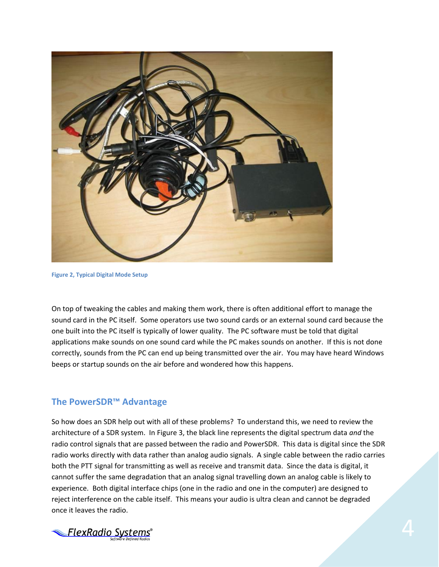

**Figure 2, Typical Digital Mode Setup**

<span id="page-3-0"></span>On top of tweaking the cables and making them work, there is often additional effort to manage the sound card in the PC itself. Some operators use two sound cards or an external sound card because the one built into the PC itself is typically of lower quality. The PC software must be told that digital applications make sounds on one sound card while the PC makes sounds on another. If this is not done correctly, sounds from the PC can end up being transmitted over the air. You may have heard Windows beeps or startup sounds on the air before and wondered how this happens.

#### **The PowerSDR™ Advantage**

So how does an SDR help out with all of these problems? To understand this, we need to review the architecture of a SDR system. In [Figure 3,](#page-4-0) the black line represents the digital spectrum data *and* the radio control signals that are passed between the radio and PowerSDR. This data is digital since the SDR radio works directly with data rather than analog audio signals. A single cable between the radio carries both the PTT signal for transmitting as well as receive and transmit data. Since the data is digital, it cannot suffer the same degradation that an analog signal travelling down an analog cable is likely to experience. Both digital interface chips (one in the radio and one in the computer) are designed to reject interference on the cable itself. This means your audio is ultra clean and cannot be degraded once it leaves the radio.

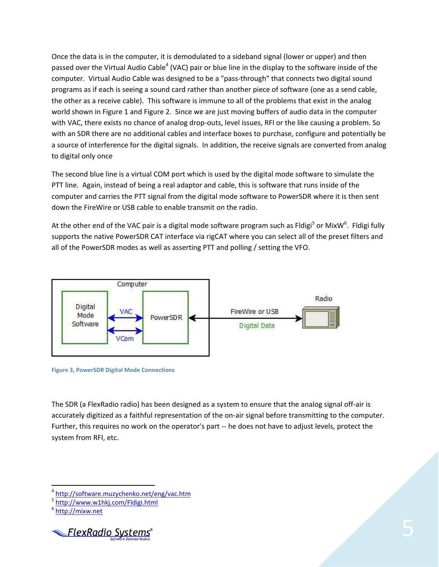Once the data is in the computer, it is demodulated to a sideband signal (lower or upper) and then passed over the Virtual Audio Cable<sup>4</sup> (VAC) pair or blue line in the display to the software inside of the computer. Virtual Audio Cable was designed to be a "pass-through" that connects two digital sound programs as if each is seeing a sound card rather than another piece of software (one as a send cable, the other as a receive cable). This software is immune to all of the problems that exist in the analog world shown in [Figure 1](#page-2-0) and [Figure 2.](#page-3-0) Since we are just moving buffers of audio data in the computer with VAC, there exists no chance of analog drop-outs, level issues, RFI or the like causing a problem. So with an SDR there are no additional cables and interface boxes to purchase, configure and potentially be a source of interference for the digital signals. In addition, the receive signals are converted from analog to digital only once

The second blue line is a virtual COM port which is used by the digital mode software to simulate the PTT line. Again, instead of being a real adaptor and cable, this is software that runs inside of the computer and carries the PTT signal from the digital mode software to PowerSDR where it is then sent down the FireWire or USB cable to enable transmit on the radio.

At the other end of the VAC pair is a digital mode software program such as Fldigi<sup>5</sup> or MixW<sup>6</sup>. Fldigi fully supports the native PowerSDR CAT interface via rigCAT where you can select all of the preset filters and all of the PowerSDR modes as well as asserting PTT and polling / setting the VFO.



<span id="page-4-0"></span>**Figure 3, PowerSDR Digital Mode Connections**

The SDR (a FlexRadio radio) has been designed as a system to ensure that the analog signal off-air is accurately digitized as a faithful representation of the on-air signal before transmitting to the computer. Further, this requires no work on the operator's part -- he does not have to adjust levels, protect the system from RFI, etc.

 $\overline{\phantom{a}}$ 



<sup>&</sup>lt;sup>4</sup> <http://software.muzychenko.net/eng/vac.htm>

<sup>&</sup>lt;sup>5</sup> <http://www.w1hkj.com/Fldigi.html>

<sup>&</sup>lt;sup>6</sup> [http://mixw.net](http://mixw.net/)